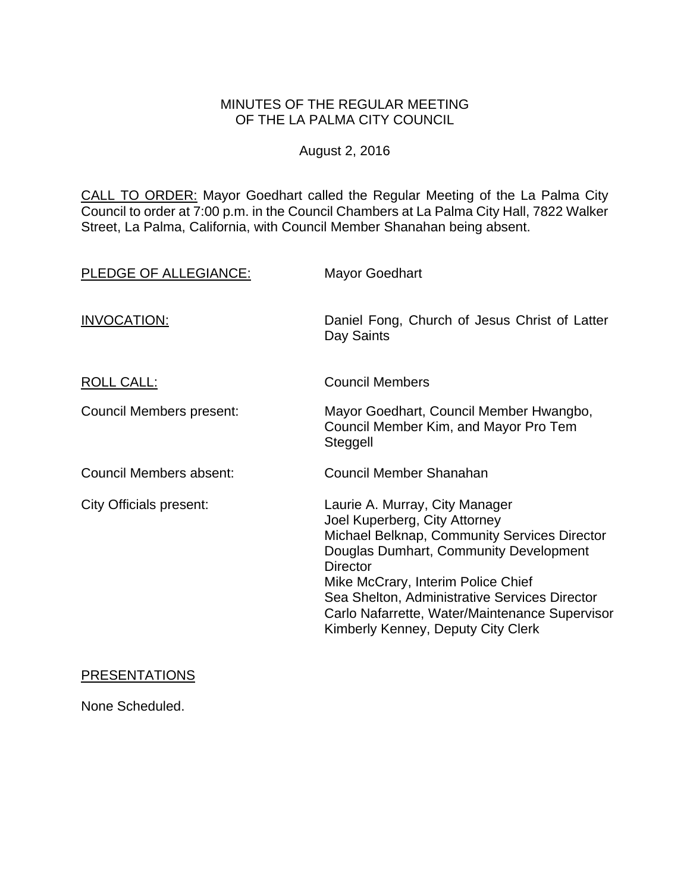## MINUTES OF THE REGULAR MEETING OF THE LA PALMA CITY COUNCIL

# August 2, 2016

CALL TO ORDER: Mayor Goedhart called the Regular Meeting of the La Palma City Council to order at 7:00 p.m. in the Council Chambers at La Palma City Hall, 7822 Walker Street, La Palma, California, with Council Member Shanahan being absent.

| PLEDGE OF ALLEGIANCE:          | <b>Mayor Goedhart</b>                                                                                                                                                                                                                                                                                                                                       |
|--------------------------------|-------------------------------------------------------------------------------------------------------------------------------------------------------------------------------------------------------------------------------------------------------------------------------------------------------------------------------------------------------------|
| INVOCATION:                    | Daniel Fong, Church of Jesus Christ of Latter<br>Day Saints                                                                                                                                                                                                                                                                                                 |
| <b>ROLL CALL:</b>              | <b>Council Members</b>                                                                                                                                                                                                                                                                                                                                      |
| Council Members present:       | Mayor Goedhart, Council Member Hwangbo,<br>Council Member Kim, and Mayor Pro Tem<br>Steggell                                                                                                                                                                                                                                                                |
| Council Members absent:        | Council Member Shanahan                                                                                                                                                                                                                                                                                                                                     |
| <b>City Officials present:</b> | Laurie A. Murray, City Manager<br>Joel Kuperberg, City Attorney<br>Michael Belknap, Community Services Director<br>Douglas Dumhart, Community Development<br><b>Director</b><br>Mike McCrary, Interim Police Chief<br>Sea Shelton, Administrative Services Director<br>Carlo Nafarrette, Water/Maintenance Supervisor<br>Kimberly Kenney, Deputy City Clerk |

## PRESENTATIONS

None Scheduled.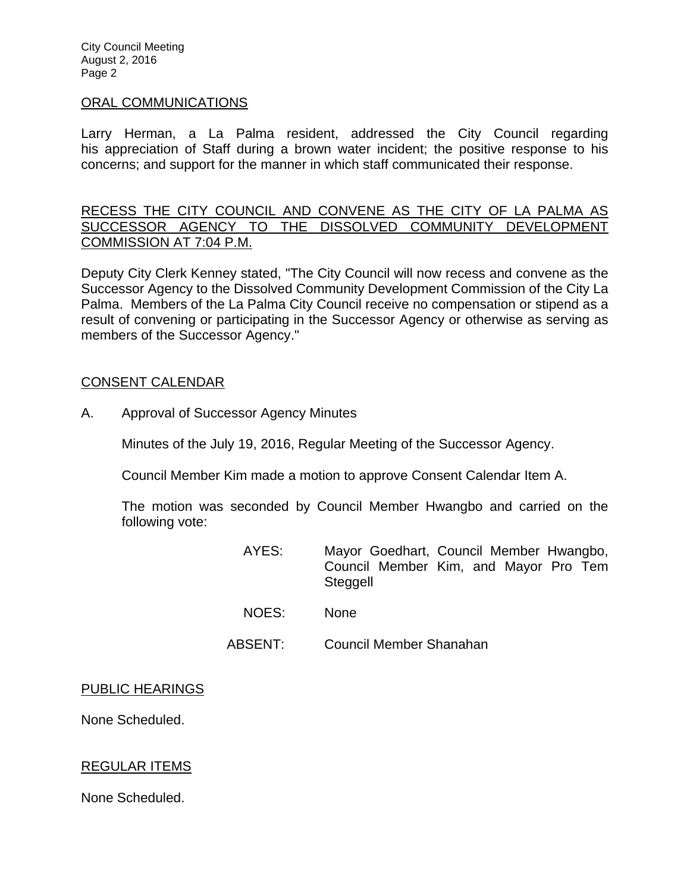City Council Meeting August 2, 2016 Page 2

#### ORAL COMMUNICATIONS

Larry Herman, a La Palma resident, addressed the City Council regarding his appreciation of Staff during a brown water incident; the positive response to his concerns; and support for the manner in which staff communicated their response.

RECESS THE CITY COUNCIL AND CONVENE AS THE CITY OF LA PALMA AS SUCCESSOR AGENCY TO THE DISSOLVED COMMUNITY DEVELOPMENT COMMISSION AT 7:04 P.M.

Deputy City Clerk Kenney stated, "The City Council will now recess and convene as the Successor Agency to the Dissolved Community Development Commission of the City La Palma. Members of the La Palma City Council receive no compensation or stipend as a result of convening or participating in the Successor Agency or otherwise as serving as members of the Successor Agency."

### CONSENT CALENDAR

A. Approval of Successor Agency Minutes

Minutes of the July 19, 2016, Regular Meeting of the Successor Agency.

Council Member Kim made a motion to approve Consent Calendar Item A.

The motion was seconded by Council Member Hwangbo and carried on the following vote:

- AYES: Mayor Goedhart, Council Member Hwangbo, Council Member Kim, and Mayor Pro Tem **Steggell**
- NOES: None
- ABSENT: Council Member Shanahan

### PUBLIC HEARINGS

None Scheduled.

## REGULAR ITEMS

None Scheduled.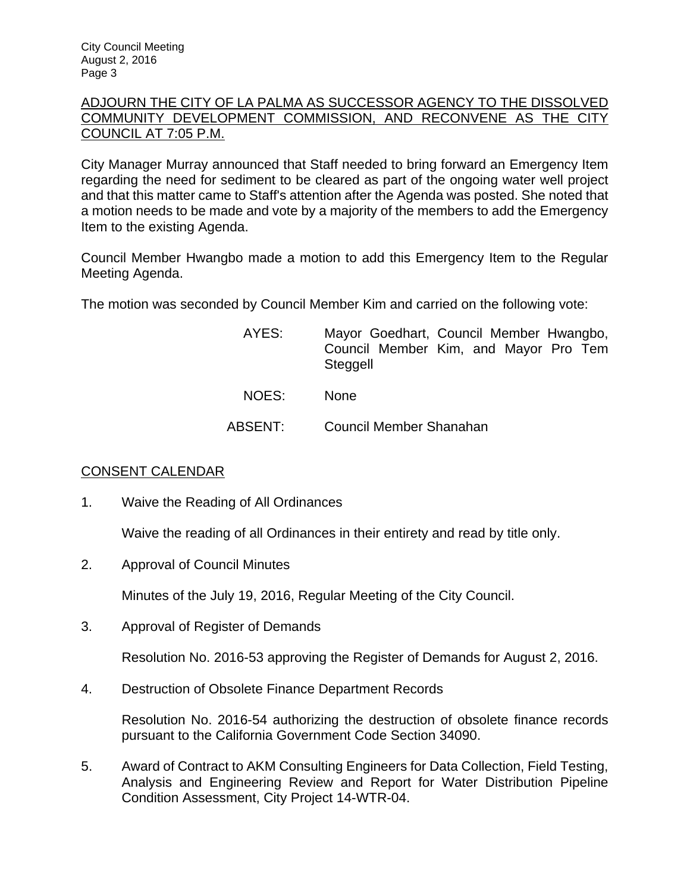## ADJOURN THE CITY OF LA PALMA AS SUCCESSOR AGENCY TO THE DISSOLVED COMMUNITY DEVELOPMENT COMMISSION, AND RECONVENE AS THE CITY COUNCIL AT 7:05 P.M.

City Manager Murray announced that Staff needed to bring forward an Emergency Item regarding the need for sediment to be cleared as part of the ongoing water well project and that this matter came to Staff's attention after the Agenda was posted. She noted that a motion needs to be made and vote by a majority of the members to add the Emergency Item to the existing Agenda.

Council Member Hwangbo made a motion to add this Emergency Item to the Regular Meeting Agenda.

The motion was seconded by Council Member Kim and carried on the following vote:

| AYES:   | Mayor Goedhart, Council Member Hwangbo,<br>Council Member Kim, and Mayor Pro Tem<br>Steggell |
|---------|----------------------------------------------------------------------------------------------|
| NOES:   | <b>None</b>                                                                                  |
| ABSENT: | Council Member Shanahan                                                                      |

## CONSENT CALENDAR

1. Waive the Reading of All Ordinances

Waive the reading of all Ordinances in their entirety and read by title only.

2. Approval of Council Minutes

Minutes of the July 19, 2016, Regular Meeting of the City Council.

3. Approval of Register of Demands

Resolution No. 2016-53 approving the Register of Demands for August 2, 2016.

4. Destruction of Obsolete Finance Department Records

Resolution No. 2016-54 authorizing the destruction of obsolete finance records pursuant to the California Government Code Section 34090.

5. Award of Contract to AKM Consulting Engineers for Data Collection, Field Testing, Analysis and Engineering Review and Report for Water Distribution Pipeline Condition Assessment, City Project 14-WTR-04.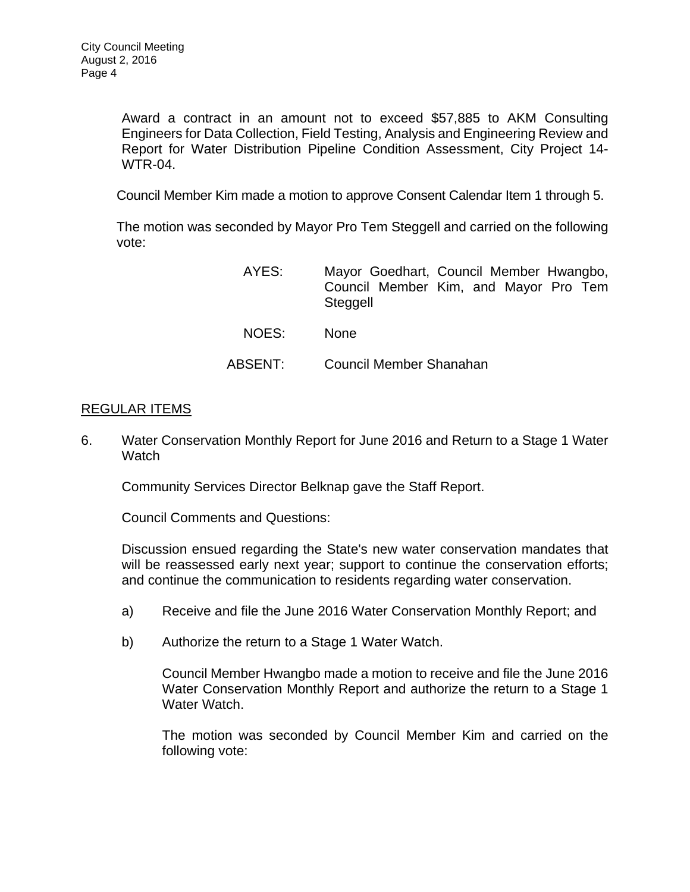Award a contract in an amount not to exceed \$57,885 to AKM Consulting Engineers for Data Collection, Field Testing, Analysis and Engineering Review and Report for Water Distribution Pipeline Condition Assessment, City Project 14- WTR-04.

Council Member Kim made a motion to approve Consent Calendar Item 1 through 5.

The motion was seconded by Mayor Pro Tem Steggell and carried on the following vote:

| AYES:   | Mayor Goedhart, Council Member Hwangbo,<br>Council Member Kim, and Mayor Pro Tem<br>Steggell |
|---------|----------------------------------------------------------------------------------------------|
| NOES:   | <b>None</b>                                                                                  |
| ABSENT: | Council Member Shanahan                                                                      |

### REGULAR ITEMS

6. Water Conservation Monthly Report for June 2016 and Return to a Stage 1 Water **Watch** 

Community Services Director Belknap gave the Staff Report.

Council Comments and Questions:

Discussion ensued regarding the State's new water conservation mandates that will be reassessed early next year; support to continue the conservation efforts; and continue the communication to residents regarding water conservation.

- a) Receive and file the June 2016 Water Conservation Monthly Report; and
- b) Authorize the return to a Stage 1 Water Watch.

Council Member Hwangbo made a motion to receive and file the June 2016 Water Conservation Monthly Report and authorize the return to a Stage 1 Water Watch.

The motion was seconded by Council Member Kim and carried on the following vote: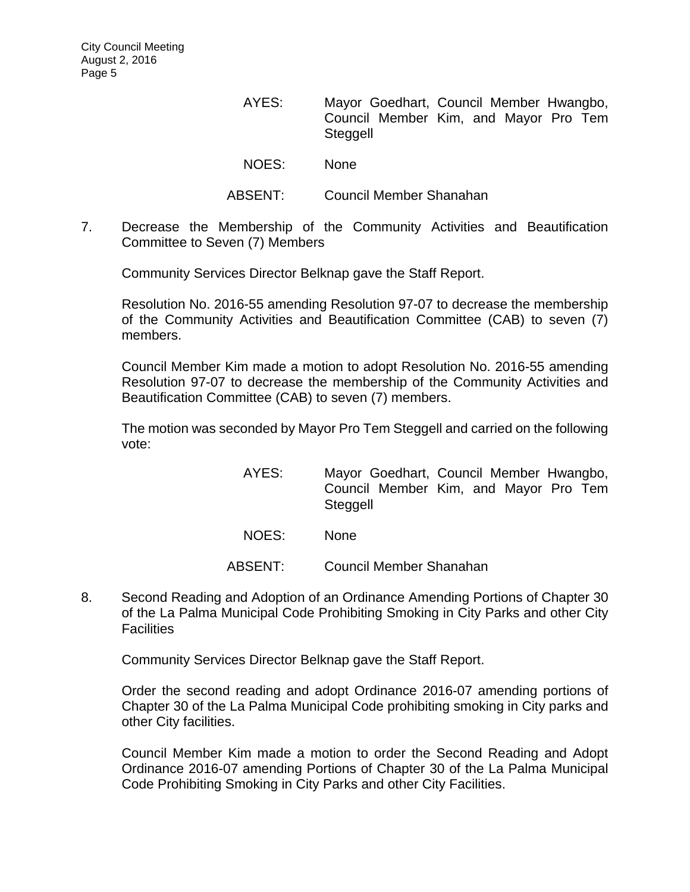- AYES: Mayor Goedhart, Council Member Hwangbo, Council Member Kim, and Mayor Pro Tem **Steggell** NOES: None
- ABSENT: Council Member Shanahan
- 7. Decrease the Membership of the Community Activities and Beautification Committee to Seven (7) Members

Community Services Director Belknap gave the Staff Report.

Resolution No. 2016-55 amending Resolution 97-07 to decrease the membership of the Community Activities and Beautification Committee (CAB) to seven (7) members.

Council Member Kim made a motion to adopt Resolution No. 2016-55 amending Resolution 97-07 to decrease the membership of the Community Activities and Beautification Committee (CAB) to seven (7) members.

The motion was seconded by Mayor Pro Tem Steggell and carried on the following vote:

- AYES: Mayor Goedhart, Council Member Hwangbo, Council Member Kim, and Mayor Pro Tem Steggell
- NOES: None
- ABSENT: Council Member Shanahan
- 8. Second Reading and Adoption of an Ordinance Amending Portions of Chapter 30 of the La Palma Municipal Code Prohibiting Smoking in City Parks and other City **Facilities**

Community Services Director Belknap gave the Staff Report.

Order the second reading and adopt Ordinance 2016-07 amending portions of Chapter 30 of the La Palma Municipal Code prohibiting smoking in City parks and other City facilities.

Council Member Kim made a motion to order the Second Reading and Adopt Ordinance 2016-07 amending Portions of Chapter 30 of the La Palma Municipal Code Prohibiting Smoking in City Parks and other City Facilities.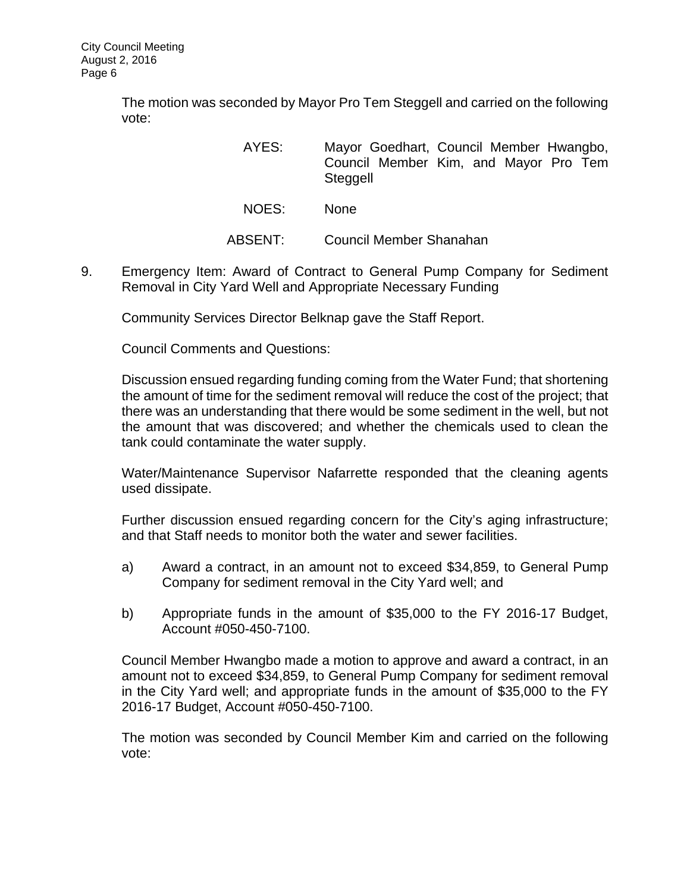The motion was seconded by Mayor Pro Tem Steggell and carried on the following vote:

- AYES: Mayor Goedhart, Council Member Hwangbo, Council Member Kim, and Mayor Pro Tem **Steggell**
- NOES: None
- ABSENT: Council Member Shanahan
- 9. Emergency Item: Award of Contract to General Pump Company for Sediment Removal in City Yard Well and Appropriate Necessary Funding

Community Services Director Belknap gave the Staff Report.

Council Comments and Questions:

Discussion ensued regarding funding coming from the Water Fund; that shortening the amount of time for the sediment removal will reduce the cost of the project; that there was an understanding that there would be some sediment in the well, but not the amount that was discovered; and whether the chemicals used to clean the tank could contaminate the water supply.

Water/Maintenance Supervisor Nafarrette responded that the cleaning agents used dissipate.

Further discussion ensued regarding concern for the City's aging infrastructure; and that Staff needs to monitor both the water and sewer facilities.

- a) Award a contract, in an amount not to exceed \$34,859, to General Pump Company for sediment removal in the City Yard well; and
- b) Appropriate funds in the amount of \$35,000 to the FY 2016-17 Budget, Account #050-450-7100.

Council Member Hwangbo made a motion to approve and award a contract, in an amount not to exceed \$34,859, to General Pump Company for sediment removal in the City Yard well; and appropriate funds in the amount of \$35,000 to the FY 2016-17 Budget, Account #050-450-7100.

The motion was seconded by Council Member Kim and carried on the following vote: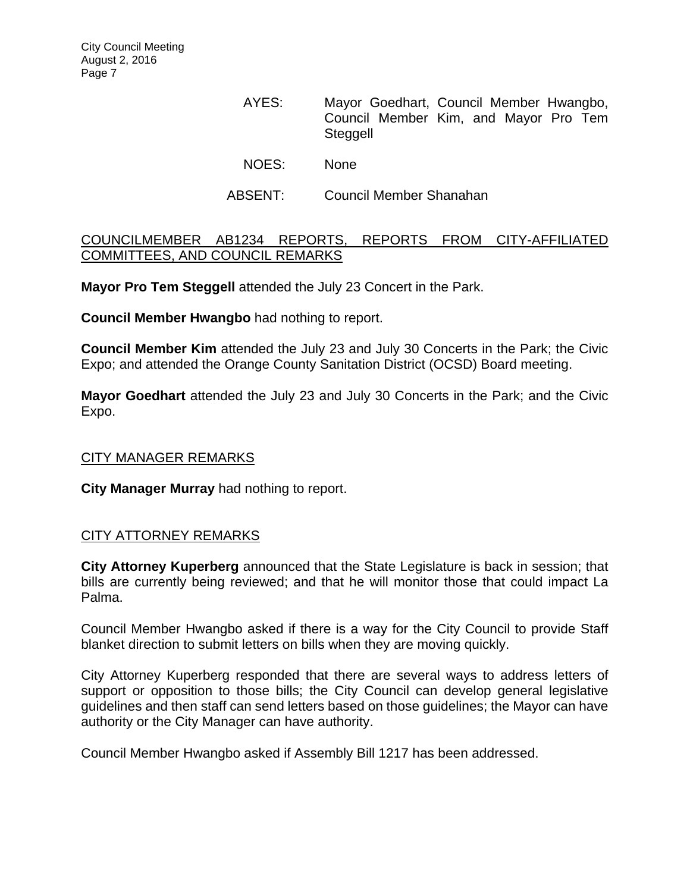- AYES: Mayor Goedhart, Council Member Hwangbo, Council Member Kim, and Mayor Pro Tem **Steggell**
- NOES: None
- ABSENT: Council Member Shanahan

## COUNCILMEMBER AB1234 REPORTS, REPORTS FROM CITY-AFFILIATED COMMITTEES, AND COUNCIL REMARKS

**Mayor Pro Tem Steggell** attended the July 23 Concert in the Park.

**Council Member Hwangbo** had nothing to report.

**Council Member Kim** attended the July 23 and July 30 Concerts in the Park; the Civic Expo; and attended the Orange County Sanitation District (OCSD) Board meeting.

**Mayor Goedhart** attended the July 23 and July 30 Concerts in the Park; and the Civic Expo.

## CITY MANAGER REMARKS

**City Manager Murray** had nothing to report.

### CITY ATTORNEY REMARKS

**City Attorney Kuperberg** announced that the State Legislature is back in session; that bills are currently being reviewed; and that he will monitor those that could impact La Palma.

Council Member Hwangbo asked if there is a way for the City Council to provide Staff blanket direction to submit letters on bills when they are moving quickly.

City Attorney Kuperberg responded that there are several ways to address letters of support or opposition to those bills; the City Council can develop general legislative guidelines and then staff can send letters based on those guidelines; the Mayor can have authority or the City Manager can have authority.

Council Member Hwangbo asked if Assembly Bill 1217 has been addressed.